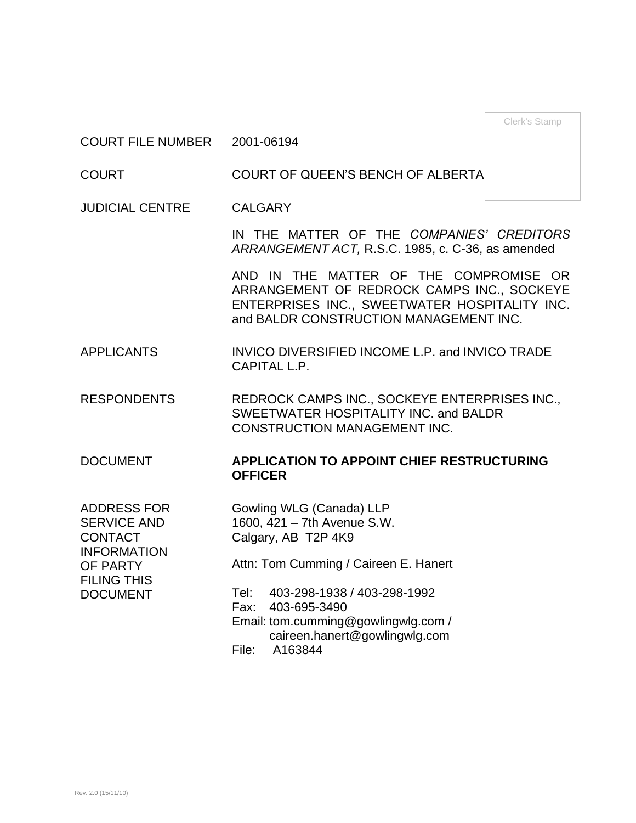Clerk's Stamp

COURT FILE NUMBER 2001-06194

COURT COURT OF QUEEN'S BENCH OF ALBERTA

JUDICIAL CENTRE CALGARY

IN THE MATTER OF THE *COMPANIES' CREDITORS ARRANGEMENT ACT,* R.S.C. 1985, c. C-36, as amended

AND IN THE MATTER OF THE COMPROMISE OR ARRANGEMENT OF REDROCK CAMPS INC., SOCKEYE ENTERPRISES INC., SWEETWATER HOSPITALITY INC. and BALDR CONSTRUCTION MANAGEMENT INC.

APPLICANTS INVICO DIVERSIFIED INCOME L.P. and INVICO TRADE CAPITAL L.P.

RESPONDENTS REDROCK CAMPS INC., SOCKEYE ENTERPRISES INC., SWEETWATER HOSPITALITY INC. and BALDR CONSTRUCTION MANAGEMENT INC.

### DOCUMENT **APPLICATION TO APPOINT CHIEF RESTRUCTURING OFFICER**

ADDRESS FOR SERVICE AND **CONTACT** INFORMATION OF PARTY FILING THIS DOCUMENT

Gowling WLG (Canada) LLP 1600, 421 – 7th Avenue S.W. Calgary, AB T2P 4K9 Attn: Tom Cumming / Caireen E. Hanert

Tel: 403-298-1938 / 403-298-1992

Fax: 403-695-3490

Email: tom.cumming@gowlingwlg.com / caireen.hanert@gowlingwlg.com

File: A163844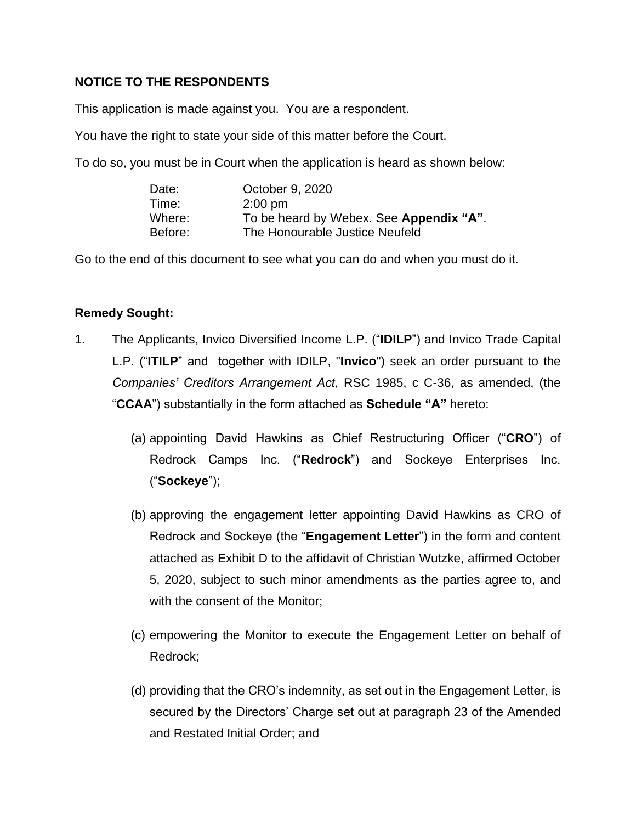## **NOTICE TO THE RESPONDENTS**

This application is made against you. You are a respondent.

You have the right to state your side of this matter before the Court.

To do so, you must be in Court when the application is heard as shown below:

| Date:   | October 9, 2020                         |
|---------|-----------------------------------------|
| Time:   | $2:00 \text{ pm}$                       |
| Where:  | To be heard by Webex. See Appendix "A". |
| Before: | The Honourable Justice Neufeld          |

Go to the end of this document to see what you can do and when you must do it.

### **Remedy Sought:**

- 1. The Applicants, Invico Diversified Income L.P. ("**IDILP**") and Invico Trade Capital L.P. ("**ITILP**" and together with IDILP, "**Invico**") seek an order pursuant to the *Companies' Creditors Arrangement Act*, RSC 1985, c C-36, as amended, (the "**CCAA**") substantially in the form attached as **Schedule "A"** hereto:
	- (a) appointing David Hawkins as Chief Restructuring Officer ("**CRO**") of Redrock Camps Inc. ("**Redrock**") and Sockeye Enterprises Inc. ("**Sockeye**");
	- (b) approving the engagement letter appointing David Hawkins as CRO of Redrock and Sockeye (the "**Engagement Letter**") in the form and content attached as Exhibit D to the affidavit of Christian Wutzke, affirmed October 5, 2020, subject to such minor amendments as the parties agree to, and with the consent of the Monitor;
	- (c) empowering the Monitor to execute the Engagement Letter on behalf of Redrock;
	- (d) providing that the CRO's indemnity, as set out in the Engagement Letter, is secured by the Directors' Charge set out at paragraph 23 of the Amended and Restated Initial Order; and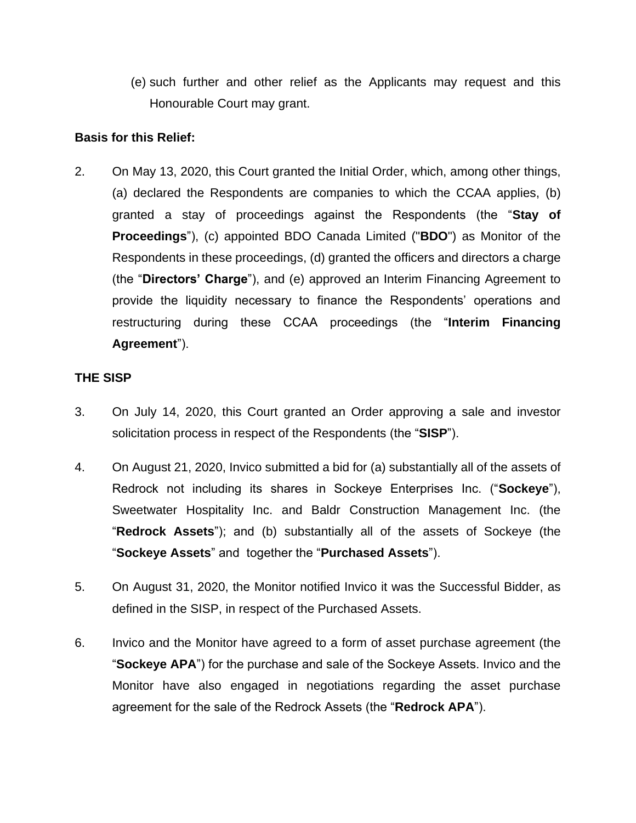(e) such further and other relief as the Applicants may request and this Honourable Court may grant.

### **Basis for this Relief:**

2. On May 13, 2020, this Court granted the Initial Order, which, among other things, (a) declared the Respondents are companies to which the CCAA applies, (b) granted a stay of proceedings against the Respondents (the "**Stay of Proceedings**"), (c) appointed BDO Canada Limited ("**BDO**") as Monitor of the Respondents in these proceedings, (d) granted the officers and directors a charge (the "**Directors' Charge**"), and (e) approved an Interim Financing Agreement to provide the liquidity necessary to finance the Respondents' operations and restructuring during these CCAA proceedings (the "**Interim Financing Agreement**").

#### **THE SISP**

- 3. On July 14, 2020, this Court granted an Order approving a sale and investor solicitation process in respect of the Respondents (the "**SISP**").
- 4. On August 21, 2020, Invico submitted a bid for (a) substantially all of the assets of Redrock not including its shares in Sockeye Enterprises Inc. ("**Sockeye**"), Sweetwater Hospitality Inc. and Baldr Construction Management Inc. (the "**Redrock Assets**"); and (b) substantially all of the assets of Sockeye (the "**Sockeye Assets**" and together the "**Purchased Assets**").
- 5. On August 31, 2020, the Monitor notified Invico it was the Successful Bidder, as defined in the SISP, in respect of the Purchased Assets.
- 6. Invico and the Monitor have agreed to a form of asset purchase agreement (the "**Sockeye APA**") for the purchase and sale of the Sockeye Assets. Invico and the Monitor have also engaged in negotiations regarding the asset purchase agreement for the sale of the Redrock Assets (the "**Redrock APA**").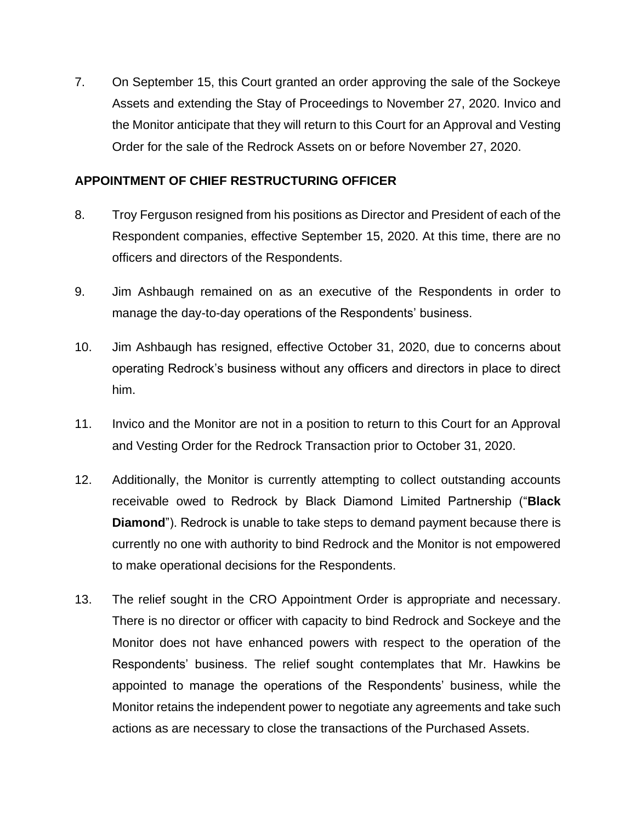7. On September 15, this Court granted an order approving the sale of the Sockeye Assets and extending the Stay of Proceedings to November 27, 2020. Invico and the Monitor anticipate that they will return to this Court for an Approval and Vesting Order for the sale of the Redrock Assets on or before November 27, 2020.

### **APPOINTMENT OF CHIEF RESTRUCTURING OFFICER**

- 8. Troy Ferguson resigned from his positions as Director and President of each of the Respondent companies, effective September 15, 2020. At this time, there are no officers and directors of the Respondents.
- 9. Jim Ashbaugh remained on as an executive of the Respondents in order to manage the day-to-day operations of the Respondents' business.
- 10. Jim Ashbaugh has resigned, effective October 31, 2020, due to concerns about operating Redrock's business without any officers and directors in place to direct him.
- 11. Invico and the Monitor are not in a position to return to this Court for an Approval and Vesting Order for the Redrock Transaction prior to October 31, 2020.
- 12. Additionally, the Monitor is currently attempting to collect outstanding accounts receivable owed to Redrock by Black Diamond Limited Partnership ("**Black Diamond**"). Redrock is unable to take steps to demand payment because there is currently no one with authority to bind Redrock and the Monitor is not empowered to make operational decisions for the Respondents.
- 13. The relief sought in the CRO Appointment Order is appropriate and necessary. There is no director or officer with capacity to bind Redrock and Sockeye and the Monitor does not have enhanced powers with respect to the operation of the Respondents' business. The relief sought contemplates that Mr. Hawkins be appointed to manage the operations of the Respondents' business, while the Monitor retains the independent power to negotiate any agreements and take such actions as are necessary to close the transactions of the Purchased Assets.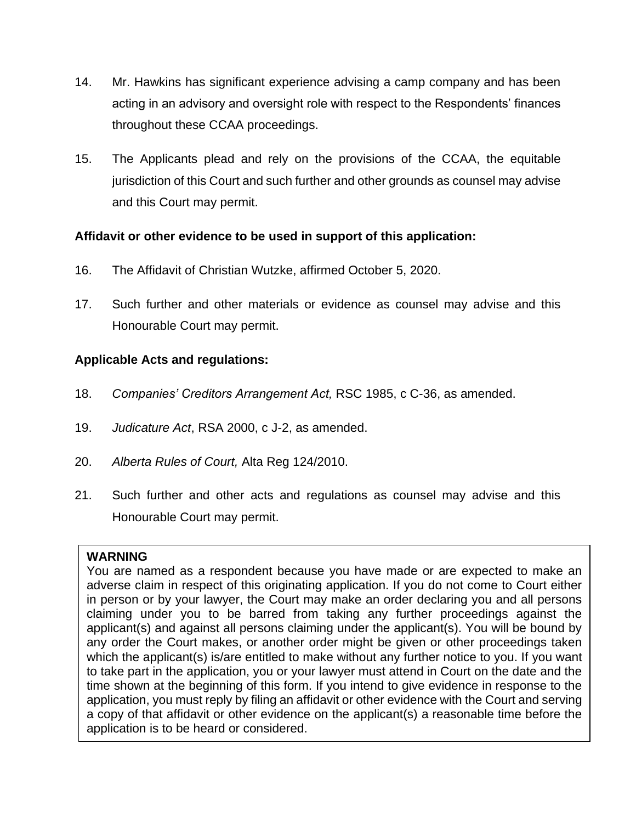- 14. Mr. Hawkins has significant experience advising a camp company and has been acting in an advisory and oversight role with respect to the Respondents' finances throughout these CCAA proceedings.
- 15. The Applicants plead and rely on the provisions of the CCAA, the equitable jurisdiction of this Court and such further and other grounds as counsel may advise and this Court may permit.

## **Affidavit or other evidence to be used in support of this application:**

- 16. The Affidavit of Christian Wutzke, affirmed October 5, 2020.
- 17. Such further and other materials or evidence as counsel may advise and this Honourable Court may permit.

# **Applicable Acts and regulations:**

- 18. *Companies' Creditors Arrangement Act,* RSC 1985, c C-36, as amended.
- 19. *Judicature Act*, RSA 2000, c J-2, as amended.
- 20. *Alberta Rules of Court,* Alta Reg 124/2010.
- 21. Such further and other acts and regulations as counsel may advise and this Honourable Court may permit.

## **WARNING**

You are named as a respondent because you have made or are expected to make an adverse claim in respect of this originating application. If you do not come to Court either in person or by your lawyer, the Court may make an order declaring you and all persons claiming under you to be barred from taking any further proceedings against the applicant(s) and against all persons claiming under the applicant(s). You will be bound by any order the Court makes, or another order might be given or other proceedings taken which the applicant(s) is/are entitled to make without any further notice to you. If you want to take part in the application, you or your lawyer must attend in Court on the date and the time shown at the beginning of this form. If you intend to give evidence in response to the application, you must reply by filing an affidavit or other evidence with the Court and serving a copy of that affidavit or other evidence on the applicant(s) a reasonable time before the application is to be heard or considered.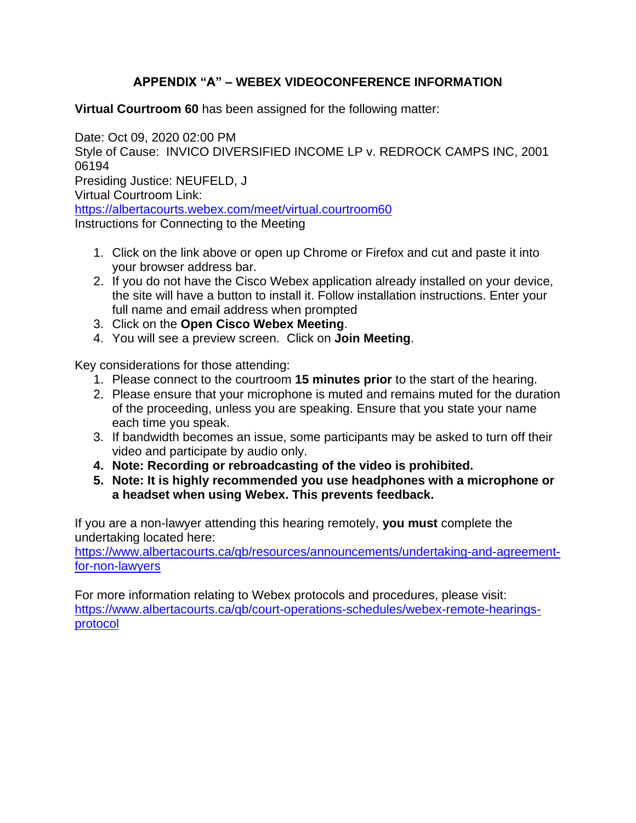# **APPENDIX "A" – WEBEX VIDEOCONFERENCE INFORMATION**

**Virtual Courtroom 60** has been assigned for the following matter:

Date: Oct 09, 2020 02:00 PM Style of Cause: INVICO DIVERSIFIED INCOME LP v. REDROCK CAMPS INC, 2001 06194 Presiding Justice: NEUFELD, J Virtual Courtroom Link: <https://albertacourts.webex.com/meet/virtual.courtroom60> Instructions for Connecting to the Meeting

- 1. Click on the link above or open up Chrome or Firefox and cut and paste it into your browser address bar.
- 2. If you do not have the Cisco Webex application already installed on your device, the site will have a button to install it. Follow installation instructions. Enter your full name and email address when prompted
- 3. Click on the **Open Cisco Webex Meeting**.
- 4. You will see a preview screen. Click on **Join Meeting**.

Key considerations for those attending:

- 1. Please connect to the courtroom **15 minutes prior** to the start of the hearing.
- 2. Please ensure that your microphone is muted and remains muted for the duration of the proceeding, unless you are speaking. Ensure that you state your name each time you speak.
- 3. If bandwidth becomes an issue, some participants may be asked to turn off their video and participate by audio only.
- **4. Note: Recording or rebroadcasting of the video is prohibited.**
- **5. Note: It is highly recommended you use headphones with a microphone or a headset when using Webex. This prevents feedback.**

If you are a non-lawyer attending this hearing remotely, **you must** complete the undertaking located here:

[https://www.albertacourts.ca/qb/resources/announcements/undertaking-and-agreement](https://urldefense.proofpoint.com/v2/url?u=https-3A__www.albertacourts.ca_qb_resources_announcements_undertaking-2Dand-2Dagreement-2Dfor-2Dnon-2Dlawyers&d=DwMF-g&c=d0WXBk_Z-g8VkGhzz_gPiQ&r=WegJx6VHW60t7cHQa1zhu52nW4WCsRLvMGRDvjxQ8S8&m=OSWqBPEMxugsJ7Qdu2ETlfiw3x4x-OtmmHkVeDSc7sI&s=c_qNPS94W4TNNRvKlohrftsEpGYr1vPZAPDqQzGcQYI&e=)[for-non-lawyers](https://urldefense.proofpoint.com/v2/url?u=https-3A__www.albertacourts.ca_qb_resources_announcements_undertaking-2Dand-2Dagreement-2Dfor-2Dnon-2Dlawyers&d=DwMF-g&c=d0WXBk_Z-g8VkGhzz_gPiQ&r=WegJx6VHW60t7cHQa1zhu52nW4WCsRLvMGRDvjxQ8S8&m=OSWqBPEMxugsJ7Qdu2ETlfiw3x4x-OtmmHkVeDSc7sI&s=c_qNPS94W4TNNRvKlohrftsEpGYr1vPZAPDqQzGcQYI&e=)

For more information relating to Webex protocols and procedures, please visit: [https://www.albertacourts.ca/qb/court-operations-schedules/webex-remote-hearings](https://urldefense.proofpoint.com/v2/url?u=https-3A__www.albertacourts.ca_qb_court-2Doperations-2Dschedules_webex-2Dremote-2Dhearings-2Dprotocol&d=DwMF-g&c=d0WXBk_Z-g8VkGhzz_gPiQ&r=WegJx6VHW60t7cHQa1zhu52nW4WCsRLvMGRDvjxQ8S8&m=OSWqBPEMxugsJ7Qdu2ETlfiw3x4x-OtmmHkVeDSc7sI&s=etjZuEUrGs2qOeXDEd46AJML5FrK80TmCdB3klr0W-8&e=)[protocol](https://urldefense.proofpoint.com/v2/url?u=https-3A__www.albertacourts.ca_qb_court-2Doperations-2Dschedules_webex-2Dremote-2Dhearings-2Dprotocol&d=DwMF-g&c=d0WXBk_Z-g8VkGhzz_gPiQ&r=WegJx6VHW60t7cHQa1zhu52nW4WCsRLvMGRDvjxQ8S8&m=OSWqBPEMxugsJ7Qdu2ETlfiw3x4x-OtmmHkVeDSc7sI&s=etjZuEUrGs2qOeXDEd46AJML5FrK80TmCdB3klr0W-8&e=)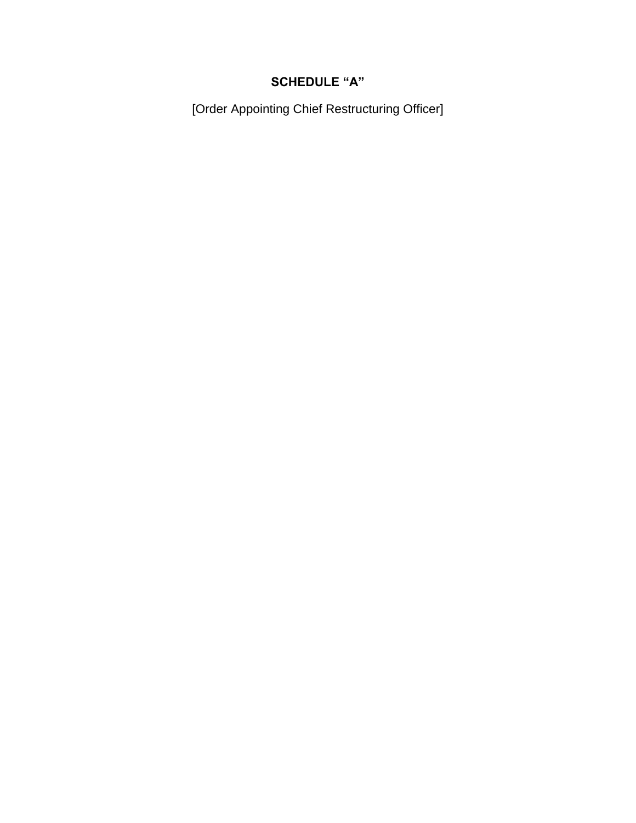# **SCHEDULE "A"**

[Order Appointing Chief Restructuring Officer]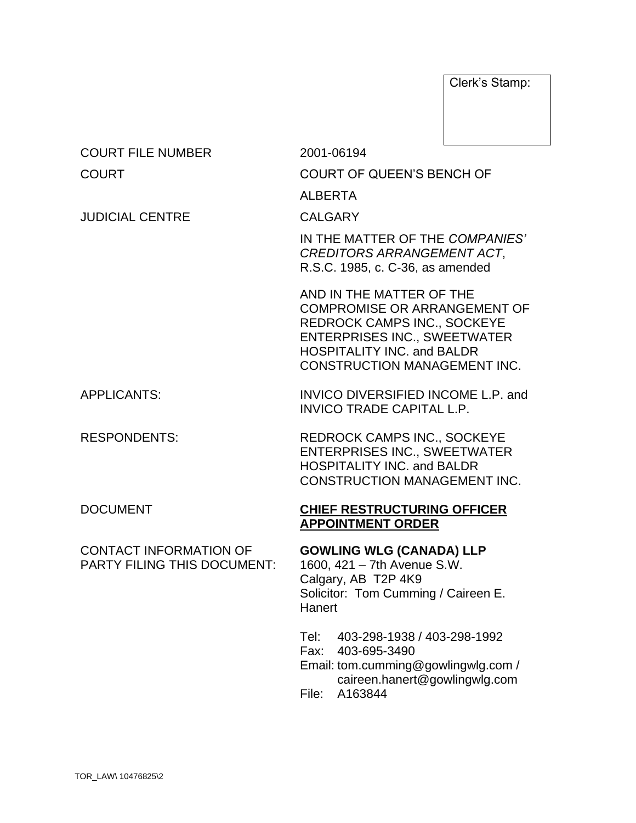Clerk's Stamp:

| 2001-06194                                                                                                                                                                                                        |  |
|-------------------------------------------------------------------------------------------------------------------------------------------------------------------------------------------------------------------|--|
| <b>COURT OF QUEEN'S BENCH OF</b>                                                                                                                                                                                  |  |
| <b>ALBERTA</b>                                                                                                                                                                                                    |  |
| <b>CALGARY</b>                                                                                                                                                                                                    |  |
| IN THE MATTER OF THE COMPANIES'<br><b>CREDITORS ARRANGEMENT ACT,</b><br>R.S.C. 1985, c. C-36, as amended                                                                                                          |  |
| AND IN THE MATTER OF THE<br><b>COMPROMISE OR ARRANGEMENT OF</b><br>REDROCK CAMPS INC., SOCKEYE<br><b>ENTERPRISES INC., SWEETWATER</b><br><b>HOSPITALITY INC. and BALDR</b><br><b>CONSTRUCTION MANAGEMENT INC.</b> |  |
| INVICO DIVERSIFIED INCOME L.P. and<br><b>INVICO TRADE CAPITAL L.P.</b>                                                                                                                                            |  |
| <b>REDROCK CAMPS INC., SOCKEYE</b><br><b>ENTERPRISES INC., SWEETWATER</b><br><b>HOSPITALITY INC. and BALDR</b><br><b>CONSTRUCTION MANAGEMENT INC.</b>                                                             |  |
| <b>CHIEF RESTRUCTURING OFFICER</b><br><b>APPOINTMENT ORDER</b>                                                                                                                                                    |  |
| <b>GOWLING WLG (CANADA) LLP</b><br>1600, 421 - 7th Avenue S.W.<br>Calgary, AB T2P 4K9<br>Solicitor: Tom Cumming / Caireen E.<br>Hanert                                                                            |  |
| Tel:<br>403-298-1938 / 403-298-1992<br>403-695-3490<br>Fax:<br>Email: tom.cumming@gowlingwlg.com /<br>caireen.hanert@gowlingwlg.com<br>A163844<br>File:                                                           |  |
|                                                                                                                                                                                                                   |  |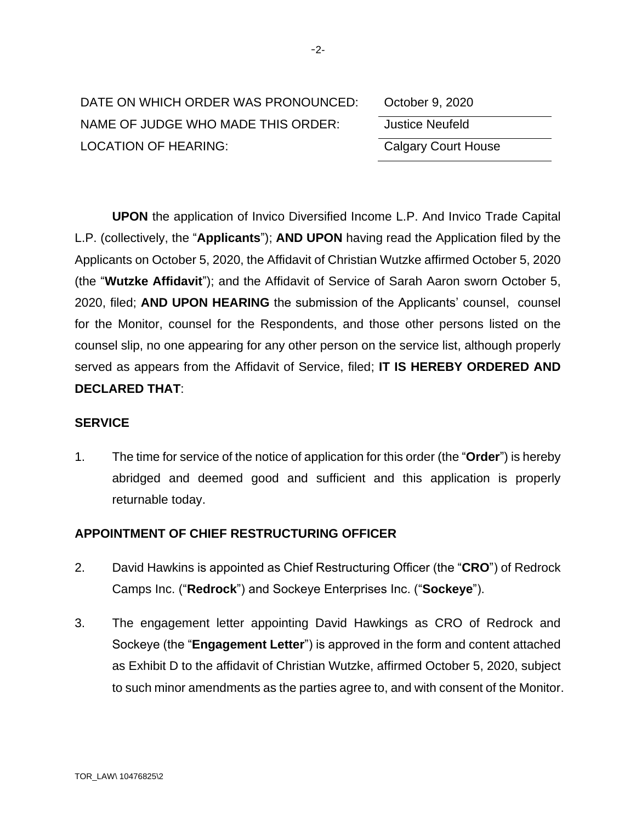| DATE ON WHICH ORDER WAS PRONOUNCED: | October 9, 2020            |
|-------------------------------------|----------------------------|
| NAME OF JUDGE WHO MADE THIS ORDER:  | Justice Neufeld            |
| LOCATION OF HEARING:                | <b>Calgary Court House</b> |

| October 9, 2020            |  |
|----------------------------|--|
| <b>Justice Neufeld</b>     |  |
| <b>Calgary Court House</b> |  |

**UPON** the application of Invico Diversified Income L.P. And Invico Trade Capital L.P. (collectively, the "**Applicants**"); **AND UPON** having read the Application filed by the Applicants on October 5, 2020, the Affidavit of Christian Wutzke affirmed October 5, 2020 (the "**Wutzke Affidavit**"); and the Affidavit of Service of Sarah Aaron sworn October 5, 2020, filed; **AND UPON HEARING** the submission of the Applicants' counsel, counsel for the Monitor, counsel for the Respondents, and those other persons listed on the counsel slip, no one appearing for any other person on the service list, although properly served as appears from the Affidavit of Service, filed; **IT IS HEREBY ORDERED AND DECLARED THAT**:

#### **SERVICE**

1. The time for service of the notice of application for this order (the "**Order**") is hereby abridged and deemed good and sufficient and this application is properly returnable today.

#### **APPOINTMENT OF CHIEF RESTRUCTURING OFFICER**

- 2. David Hawkins is appointed as Chief Restructuring Officer (the "**CRO**") of Redrock Camps Inc. ("**Redrock**") and Sockeye Enterprises Inc. ("**Sockeye**").
- 3. The engagement letter appointing David Hawkings as CRO of Redrock and Sockeye (the "**Engagement Letter**") is approved in the form and content attached as Exhibit D to the affidavit of Christian Wutzke, affirmed October 5, 2020, subject to such minor amendments as the parties agree to, and with consent of the Monitor.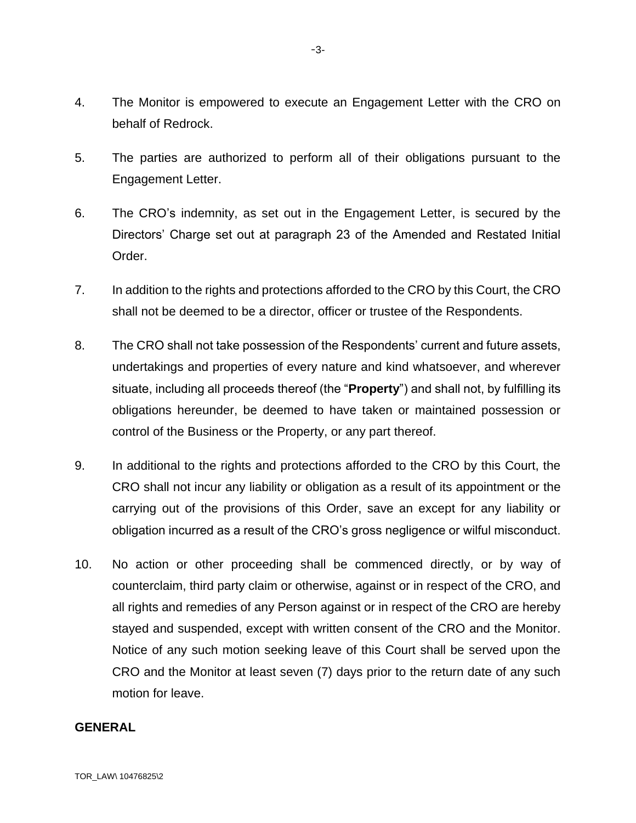- 4. The Monitor is empowered to execute an Engagement Letter with the CRO on behalf of Redrock.
- 5. The parties are authorized to perform all of their obligations pursuant to the Engagement Letter.
- 6. The CRO's indemnity, as set out in the Engagement Letter, is secured by the Directors' Charge set out at paragraph 23 of the Amended and Restated Initial Order.
- 7. In addition to the rights and protections afforded to the CRO by this Court, the CRO shall not be deemed to be a director, officer or trustee of the Respondents.
- 8. The CRO shall not take possession of the Respondents' current and future assets, undertakings and properties of every nature and kind whatsoever, and wherever situate, including all proceeds thereof (the "**Property**") and shall not, by fulfilling its obligations hereunder, be deemed to have taken or maintained possession or control of the Business or the Property, or any part thereof.
- 9. In additional to the rights and protections afforded to the CRO by this Court, the CRO shall not incur any liability or obligation as a result of its appointment or the carrying out of the provisions of this Order, save an except for any liability or obligation incurred as a result of the CRO's gross negligence or wilful misconduct.
- 10. No action or other proceeding shall be commenced directly, or by way of counterclaim, third party claim or otherwise, against or in respect of the CRO, and all rights and remedies of any Person against or in respect of the CRO are hereby stayed and suspended, except with written consent of the CRO and the Monitor. Notice of any such motion seeking leave of this Court shall be served upon the CRO and the Monitor at least seven (7) days prior to the return date of any such motion for leave.

#### **GENERAL**